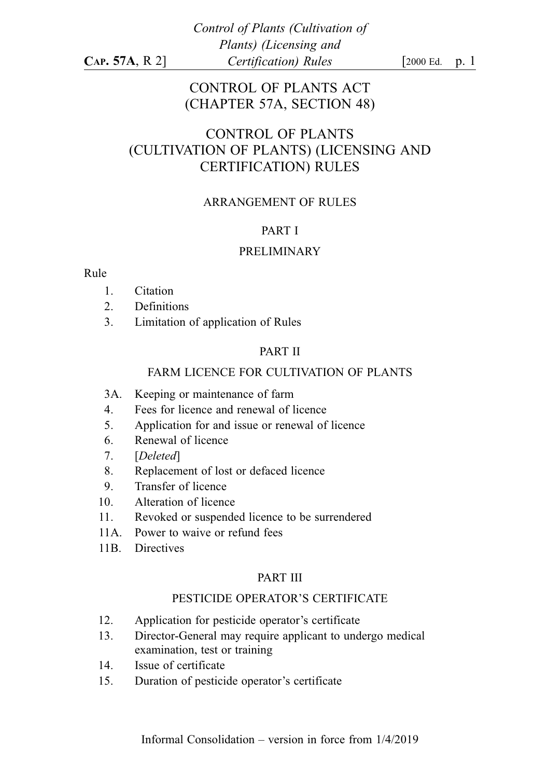## CONTROL OF PLANTS ACT (CHAPTER 57A, SECTION 48)

# CONTROL OF PLANTS (CULTIVATION OF PLANTS) (LICENSING AND CERTIFICATION) RULES

#### ARRANGEMENT OF RULES

#### PART I

#### PRELIMINARY

#### Rule

- 1. Citation
- 2. Definitions
- 3. Limitation of application of Rules

#### PART II

#### FARM LICENCE FOR CULTIVATION OF PLANTS

- 3A. Keeping or maintenance of farm
- 4. Fees for licence and renewal of licence
- 5. Application for and issue or renewal of licence
- 6. Renewal of licence
- 7. [Deleted]
- 8. Replacement of lost or defaced licence
- 9. Transfer of licence
- 10. Alteration of licence
- 11. Revoked or suspended licence to be surrendered
- 11A. Power to waive or refund fees
- 11B. Directives

#### PART III

#### PESTICIDE OPERATOR'S CERTIFICATE

- 12. Application for pesticide operator's certificate
- 13. Director-General may require applicant to undergo medical examination, test or training
- 14. Issue of certificate
- 15. Duration of pesticide operator's certificate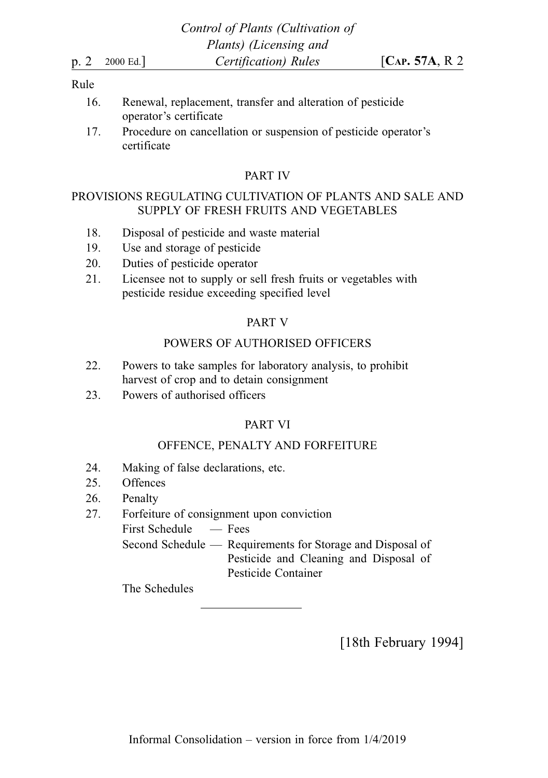#### Rule

- 16. Renewal, replacement, transfer and alteration of pesticide operator's certificate
- 17. Procedure on cancellation or suspension of pesticide operator's certificate

#### PART IV

#### PROVISIONS REGULATING CULTIVATION OF PLANTS AND SALE AND SUPPLY OF FRESH FRUITS AND VEGETABLES

- 18. Disposal of pesticide and waste material
- 19. Use and storage of pesticide
- 20. Duties of pesticide operator
- 21. Licensee not to supply or sell fresh fruits or vegetables with pesticide residue exceeding specified level

#### PART V

### POWERS OF AUTHORISED OFFICERS

- 22. Powers to take samples for laboratory analysis, to prohibit harvest of crop and to detain consignment
- 23. Powers of authorised officers

## PART VI

### OFFENCE, PENALTY AND FORFEITURE

- 24. Making of false declarations, etc.
- 25. Offences
- 26. Penalty
- 27. Forfeiture of consignment upon conviction
	- First Schedule Fees

Second Schedule — Requirements for Storage and Disposal of Pesticide and Cleaning and Disposal of Pesticide Container

The Schedules

[18th February 1994]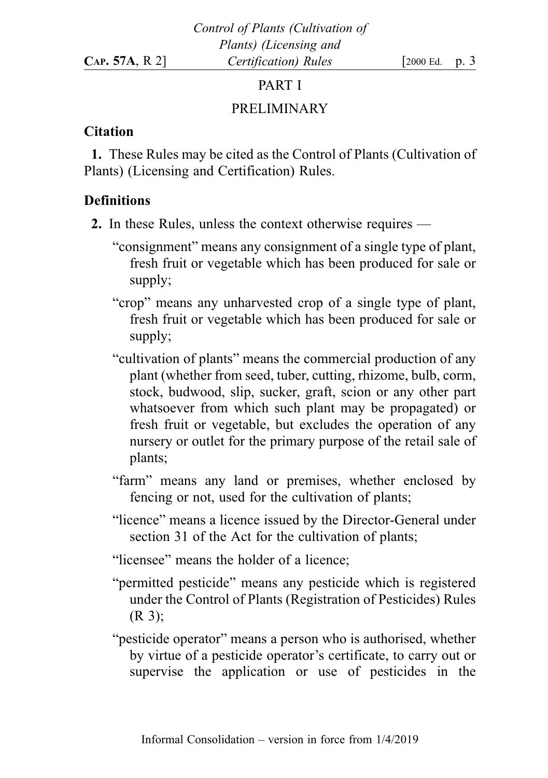### PART I

# PRELIMINARY

## **Citation**

1. These Rules may be cited as the Control of Plants (Cultivation of Plants) (Licensing and Certification) Rules.

# **Definitions**

- 2. In these Rules, unless the context otherwise requires
	- "consignment" means any consignment of a single type of plant, fresh fruit or vegetable which has been produced for sale or supply;
	- "crop" means any unharvested crop of a single type of plant, fresh fruit or vegetable which has been produced for sale or supply;
	- "cultivation of plants" means the commercial production of any plant (whether from seed, tuber, cutting, rhizome, bulb, corm, stock, budwood, slip, sucker, graft, scion or any other part whatsoever from which such plant may be propagated) or fresh fruit or vegetable, but excludes the operation of any nursery or outlet for the primary purpose of the retail sale of plants;
	- "farm" means any land or premises, whether enclosed by fencing or not, used for the cultivation of plants;
	- "licence" means a licence issued by the Director-General under section 31 of the Act for the cultivation of plants;
	- "licensee" means the holder of a licence;
	- "permitted pesticide" means any pesticide which is registered under the Control of Plants (Registration of Pesticides) Rules (R 3);
	- "pesticide operator" means a person who is authorised, whether by virtue of a pesticide operator's certificate, to carry out or supervise the application or use of pesticides in the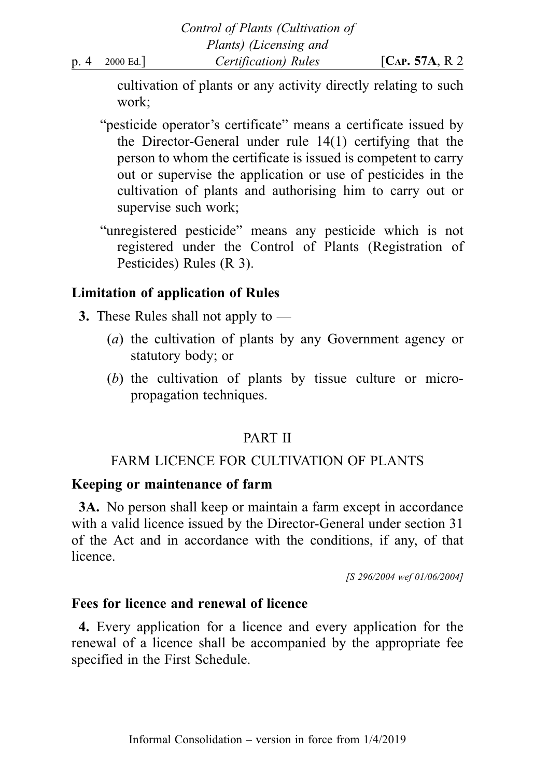cultivation of plants or any activity directly relating to such work;

- "pesticide operator's certificate" means a certificate issued by the Director-General under rule 14(1) certifying that the person to whom the certificate is issued is competent to carry out or supervise the application or use of pesticides in the cultivation of plants and authorising him to carry out or supervise such work;
- "unregistered pesticide" means any pesticide which is not registered under the Control of Plants (Registration of Pesticides) Rules (R 3).

# Limitation of application of Rules

- 3. These Rules shall not apply to
	- (a) the cultivation of plants by any Government agency or statutory body; or
	- (b) the cultivation of plants by tissue culture or micropropagation techniques.

# PART II

# FARM LICENCE FOR CULTIVATION OF PLANTS

## Keeping or maintenance of farm

3A. No person shall keep or maintain a farm except in accordance with a valid licence issued by the Director-General under section 31 of the Act and in accordance with the conditions, if any, of that licence.

[S 296/2004 wef 01/06/2004]

# Fees for licence and renewal of licence

4. Every application for a licence and every application for the renewal of a licence shall be accompanied by the appropriate fee specified in the First Schedule.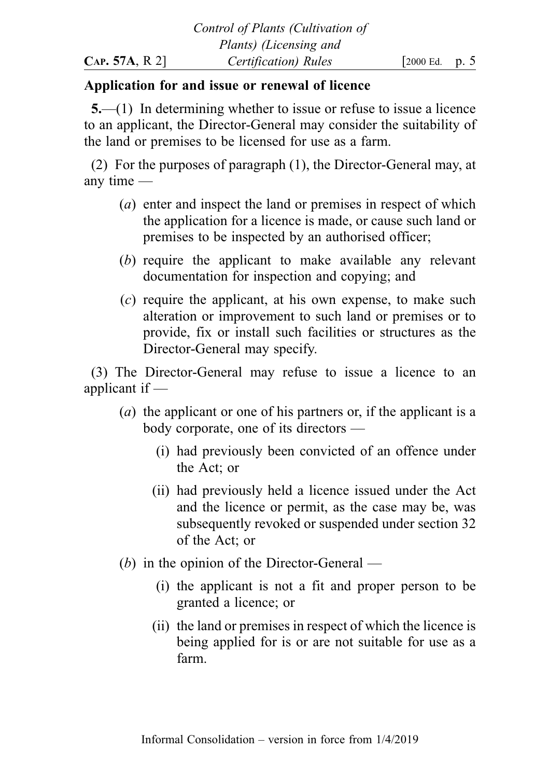## Application for and issue or renewal of licence

5.—(1) In determining whether to issue or refuse to issue a licence to an applicant, the Director-General may consider the suitability of the land or premises to be licensed for use as a farm.

(2) For the purposes of paragraph (1), the Director-General may, at any time —

- (a) enter and inspect the land or premises in respect of which the application for a licence is made, or cause such land or premises to be inspected by an authorised officer;
- (b) require the applicant to make available any relevant documentation for inspection and copying; and
- (c) require the applicant, at his own expense, to make such alteration or improvement to such land or premises or to provide, fix or install such facilities or structures as the Director-General may specify.

(3) The Director-General may refuse to issue a licence to an applicant if —

- (a) the applicant or one of his partners or, if the applicant is a body corporate, one of its directors —
	- (i) had previously been convicted of an offence under the Act; or
	- (ii) had previously held a licence issued under the Act and the licence or permit, as the case may be, was subsequently revoked or suspended under section 32 of the Act; or
- (b) in the opinion of the Director-General
	- (i) the applicant is not a fit and proper person to be granted a licence; or
	- (ii) the land or premises in respect of which the licence is being applied for is or are not suitable for use as a farm.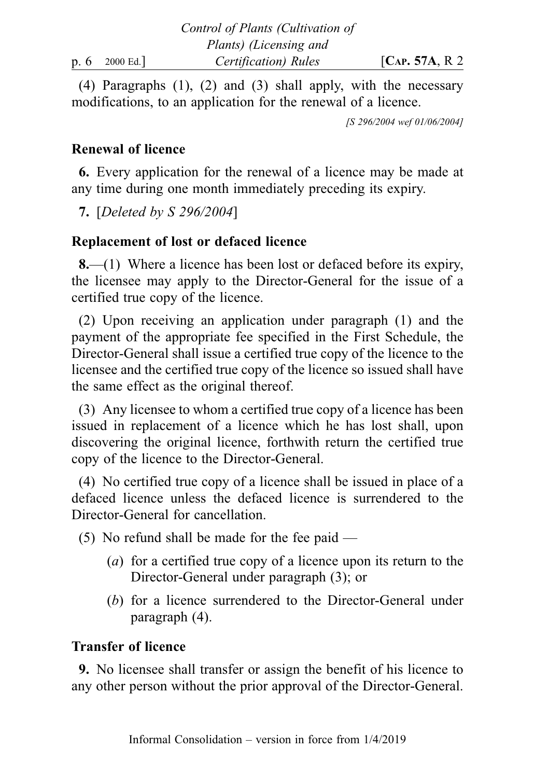(4) Paragraphs (1), (2) and (3) shall apply, with the necessary modifications, to an application for the renewal of a licence.

[S 296/2004 wef 01/06/2004]

## Renewal of licence

6. Every application for the renewal of a licence may be made at any time during one month immediately preceding its expiry.

7. [Deleted by S 296/2004]

## Replacement of lost or defaced licence

8.—(1) Where a licence has been lost or defaced before its expiry, the licensee may apply to the Director-General for the issue of a certified true copy of the licence.

(2) Upon receiving an application under paragraph (1) and the payment of the appropriate fee specified in the First Schedule, the Director-General shall issue a certified true copy of the licence to the licensee and the certified true copy of the licence so issued shall have the same effect as the original thereof.

(3) Any licensee to whom a certified true copy of a licence has been issued in replacement of a licence which he has lost shall, upon discovering the original licence, forthwith return the certified true copy of the licence to the Director-General.

(4) No certified true copy of a licence shall be issued in place of a defaced licence unless the defaced licence is surrendered to the Director-General for cancellation.

(5) No refund shall be made for the fee paid —

- (a) for a certified true copy of a licence upon its return to the Director-General under paragraph (3); or
- (b) for a licence surrendered to the Director-General under paragraph (4).

## Transfer of licence

9. No licensee shall transfer or assign the benefit of his licence to any other person without the prior approval of the Director-General.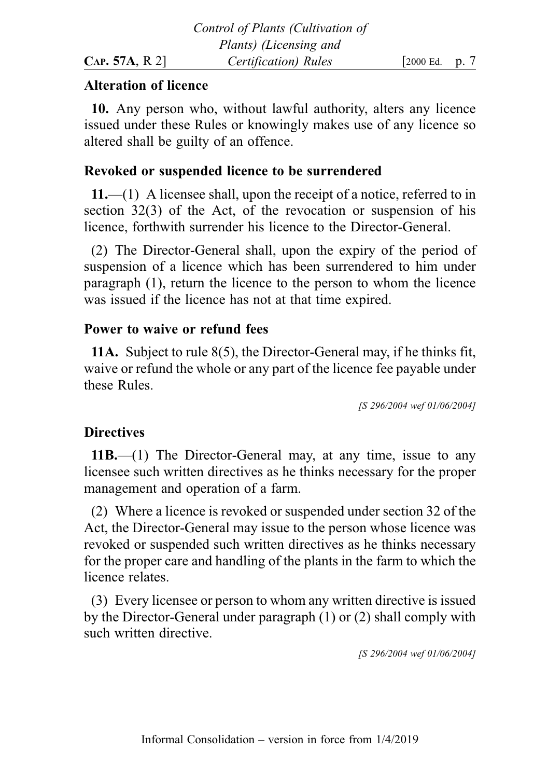## Alteration of licence

10. Any person who, without lawful authority, alters any licence issued under these Rules or knowingly makes use of any licence so altered shall be guilty of an offence.

# Revoked or suspended licence to be surrendered

11.—(1) A licensee shall, upon the receipt of a notice, referred to in section 32(3) of the Act, of the revocation or suspension of his licence, forthwith surrender his licence to the Director-General.

(2) The Director-General shall, upon the expiry of the period of suspension of a licence which has been surrendered to him under paragraph (1), return the licence to the person to whom the licence was issued if the licence has not at that time expired.

## Power to waive or refund fees

11A. Subject to rule 8(5), the Director-General may, if he thinks fit, waive or refund the whole or any part of the licence fee payable under these Rules.

[S 296/2004 wef 01/06/2004]

# **Directives**

11B.—(1) The Director-General may, at any time, issue to any licensee such written directives as he thinks necessary for the proper management and operation of a farm.

(2) Where a licence is revoked or suspended under section 32 of the Act, the Director-General may issue to the person whose licence was revoked or suspended such written directives as he thinks necessary for the proper care and handling of the plants in the farm to which the licence relates.

(3) Every licensee or person to whom any written directive is issued by the Director-General under paragraph (1) or (2) shall comply with such written directive.

[S 296/2004 wef 01/06/2004]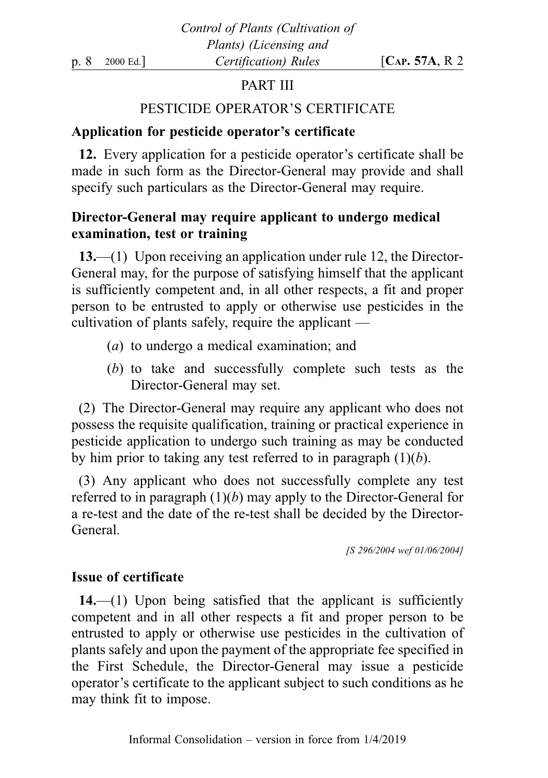# PART III

## PESTICIDE OPERATOR'S CERTIFICATE

## Application for pesticide operator's certificate

12. Every application for a pesticide operator's certificate shall be made in such form as the Director-General may provide and shall specify such particulars as the Director-General may require.

# Director-General may require applicant to undergo medical examination, test or training

13.—(1) Upon receiving an application under rule 12, the Director-General may, for the purpose of satisfying himself that the applicant is sufficiently competent and, in all other respects, a fit and proper person to be entrusted to apply or otherwise use pesticides in the cultivation of plants safely, require the applicant —

- (a) to undergo a medical examination; and
- (b) to take and successfully complete such tests as the Director-General may set.

(2) The Director-General may require any applicant who does not possess the requisite qualification, training or practical experience in pesticide application to undergo such training as may be conducted by him prior to taking any test referred to in paragraph  $(1)(b)$ .

(3) Any applicant who does not successfully complete any test referred to in paragraph  $(1)(b)$  may apply to the Director-General for a re-test and the date of the re-test shall be decided by the Director-General.

[S 296/2004 wef 01/06/2004]

## Issue of certificate

 $14.$ —(1) Upon being satisfied that the applicant is sufficiently competent and in all other respects a fit and proper person to be entrusted to apply or otherwise use pesticides in the cultivation of plants safely and upon the payment of the appropriate fee specified in the First Schedule, the Director-General may issue a pesticide operator's certificate to the applicant subject to such conditions as he may think fit to impose.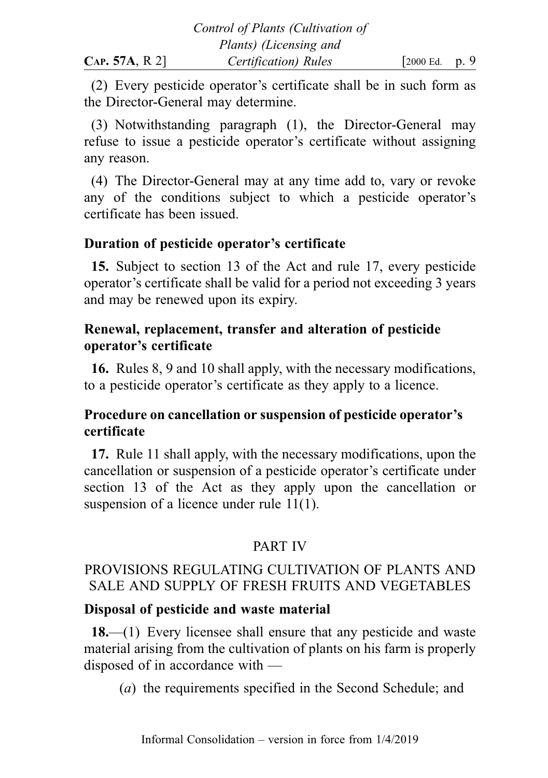(2) Every pesticide operator's certificate shall be in such form as the Director-General may determine.

(3) Notwithstanding paragraph (1), the Director-General may refuse to issue a pesticide operator's certificate without assigning any reason.

(4) The Director-General may at any time add to, vary or revoke any of the conditions subject to which a pesticide operator's certificate has been issued.

## Duration of pesticide operator's certificate

15. Subject to section 13 of the Act and rule 17, every pesticide operator's certificate shall be valid for a period not exceeding 3 years and may be renewed upon its expiry.

## Renewal, replacement, transfer and alteration of pesticide operator's certificate

16. Rules 8, 9 and 10 shall apply, with the necessary modifications, to a pesticide operator's certificate as they apply to a licence.

# Procedure on cancellation or suspension of pesticide operator's certificate

17. Rule 11 shall apply, with the necessary modifications, upon the cancellation or suspension of a pesticide operator's certificate under section 13 of the Act as they apply upon the cancellation or suspension of a licence under rule 11(1).

# PART IV

# PROVISIONS REGULATING CULTIVATION OF PLANTS AND SALE AND SUPPLY OF FRESH FRUITS AND VEGETABLES

## Disposal of pesticide and waste material

18.—(1) Every licensee shall ensure that any pesticide and waste material arising from the cultivation of plants on his farm is properly disposed of in accordance with —

(a) the requirements specified in the Second Schedule; and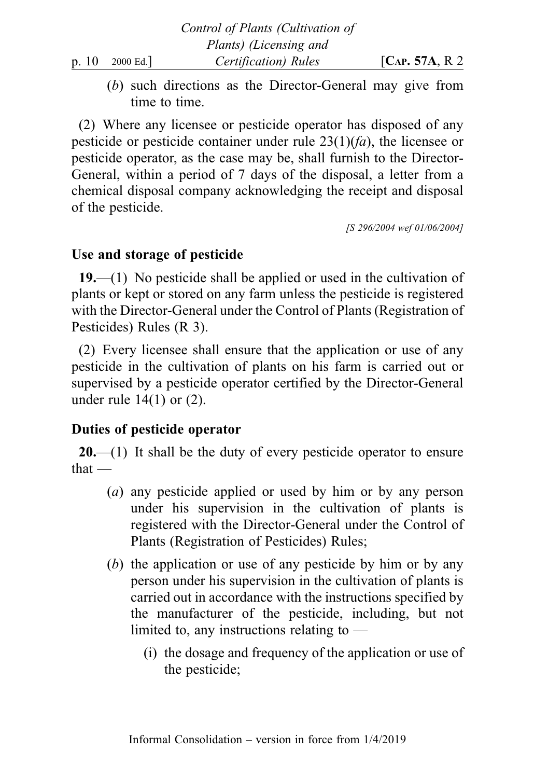(b) such directions as the Director-General may give from time to time.

(2) Where any licensee or pesticide operator has disposed of any pesticide or pesticide container under rule  $23(1)(fa)$ , the licensee or pesticide operator, as the case may be, shall furnish to the Director-General, within a period of 7 days of the disposal, a letter from a chemical disposal company acknowledging the receipt and disposal of the pesticide.

[S 296/2004 wef 01/06/2004]

## Use and storage of pesticide

19.—(1) No pesticide shall be applied or used in the cultivation of plants or kept or stored on any farm unless the pesticide is registered with the Director-General under the Control of Plants (Registration of Pesticides) Rules (R 3).

(2) Every licensee shall ensure that the application or use of any pesticide in the cultivation of plants on his farm is carried out or supervised by a pesticide operator certified by the Director-General under rule  $14(1)$  or  $(2)$ .

# Duties of pesticide operator

 $20$ —(1) It shall be the duty of every pesticide operator to ensure that —

- (a) any pesticide applied or used by him or by any person under his supervision in the cultivation of plants is registered with the Director-General under the Control of Plants (Registration of Pesticides) Rules;
- (b) the application or use of any pesticide by him or by any person under his supervision in the cultivation of plants is carried out in accordance with the instructions specified by the manufacturer of the pesticide, including, but not limited to, any instructions relating to —
	- (i) the dosage and frequency of the application or use of the pesticide;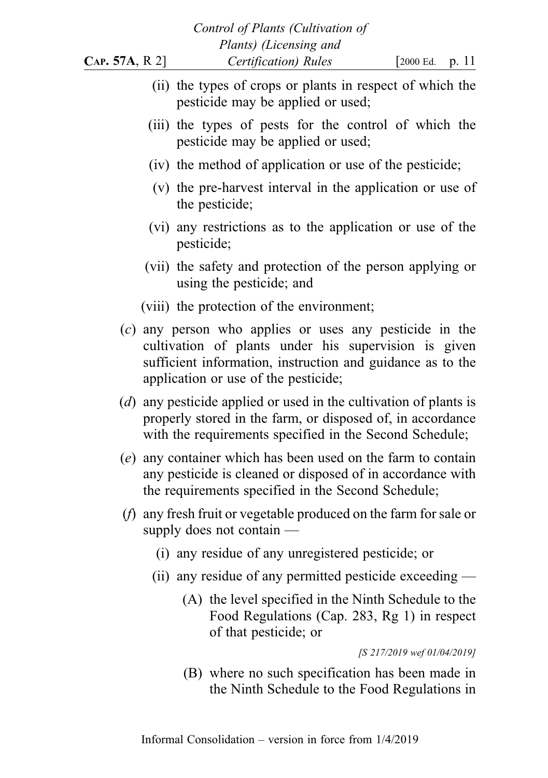|                |                                                   |                       | Control of Plants (Cultivation of              |                                                                                                                                                                                              |       |
|----------------|---------------------------------------------------|-----------------------|------------------------------------------------|----------------------------------------------------------------------------------------------------------------------------------------------------------------------------------------------|-------|
| CAP. 57A, R 2] |                                                   |                       | Plants) (Licensing and<br>Certification) Rules | [2000 Ed.                                                                                                                                                                                    | p. 11 |
|                | pesticide may be applied or used;                 |                       |                                                | (ii) the types of crops or plants in respect of which the                                                                                                                                    |       |
|                | pesticide may be applied or used;                 |                       |                                                | (iii) the types of pests for the control of which the                                                                                                                                        |       |
|                |                                                   |                       |                                                | (iv) the method of application or use of the pesticide;                                                                                                                                      |       |
|                | the pesticide;                                    |                       |                                                | (v) the pre-harvest interval in the application or use of                                                                                                                                    |       |
|                | pesticide;                                        |                       |                                                | (vi) any restrictions as to the application or use of the                                                                                                                                    |       |
|                | using the pesticide; and                          |                       |                                                | (vii) the safety and protection of the person applying or                                                                                                                                    |       |
|                | (viii) the protection of the environment;         |                       |                                                |                                                                                                                                                                                              |       |
|                | application or use of the pesticide;              |                       |                                                | $(c)$ any person who applies or uses any pesticide in the<br>cultivation of plants under his supervision is given<br>sufficient information, instruction and guidance as to the              |       |
|                |                                                   |                       |                                                | $(d)$ any pesticide applied or used in the cultivation of plants is<br>properly stored in the farm, or disposed of, in accordance<br>with the requirements specified in the Second Schedule; |       |
|                |                                                   |                       |                                                | (e) any container which has been used on the farm to contain<br>any pesticide is cleaned or disposed of in accordance with<br>the requirements specified in the Second Schedule;             |       |
|                | supply does not contain $-$                       |                       |                                                | $(f)$ any fresh fruit or vegetable produced on the farm for sale or                                                                                                                          |       |
|                | (i) any residue of any unregistered pesticide; or |                       |                                                |                                                                                                                                                                                              |       |
|                |                                                   |                       |                                                | (ii) any residue of any permitted pesticide exceeding $-$                                                                                                                                    |       |
|                |                                                   | of that pesticide; or |                                                | (A) the level specified in the Ninth Schedule to the<br>Food Regulations (Cap. 283, Rg 1) in respect                                                                                         |       |
|                |                                                   |                       |                                                | [S 217/2019 wef 01/04/2019]                                                                                                                                                                  |       |

(B) where no such specification has been made in the Ninth Schedule to the Food Regulations in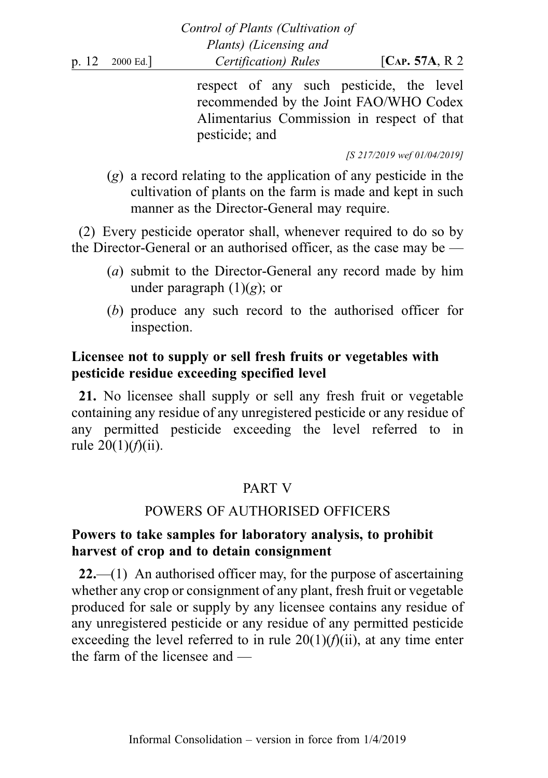|                      | Compo of Lands (Cantralion of                                                                                                    |                     |
|----------------------|----------------------------------------------------------------------------------------------------------------------------------|---------------------|
|                      | Plants) (Licensing and                                                                                                           |                     |
| p. $12 \t 2000$ Ed.] | Certification) Rules                                                                                                             | [ $CAP. 57A, R.2$ ] |
|                      | respect of any such pesticide, the level<br>recommended by the Joint FAO/WHO Codex<br>Alimentarius Commission in respect of that |                     |
|                      | pesticide; and                                                                                                                   |                     |

Control of Plants (Cultivation of

[S 217/2019 wef 01/04/2019]

(g) a record relating to the application of any pesticide in the cultivation of plants on the farm is made and kept in such manner as the Director-General may require.

(2) Every pesticide operator shall, whenever required to do so by the Director-General or an authorised officer, as the case may be —

- (a) submit to the Director-General any record made by him under paragraph  $(1)(g)$ ; or
- (b) produce any such record to the authorised officer for inspection.

## Licensee not to supply or sell fresh fruits or vegetables with pesticide residue exceeding specified level

21. No licensee shall supply or sell any fresh fruit or vegetable containing any residue of any unregistered pesticide or any residue of any permitted pesticide exceeding the level referred to in rule  $20(1)(f)(ii)$ .

## PART V

### POWERS OF AUTHORISED OFFICERS

## Powers to take samples for laboratory analysis, to prohibit harvest of crop and to detain consignment

 $22$ —(1) An authorised officer may, for the purpose of ascertaining whether any crop or consignment of any plant, fresh fruit or vegetable produced for sale or supply by any licensee contains any residue of any unregistered pesticide or any residue of any permitted pesticide exceeding the level referred to in rule  $20(1)(f)(ii)$ , at any time enter the farm of the licensee and —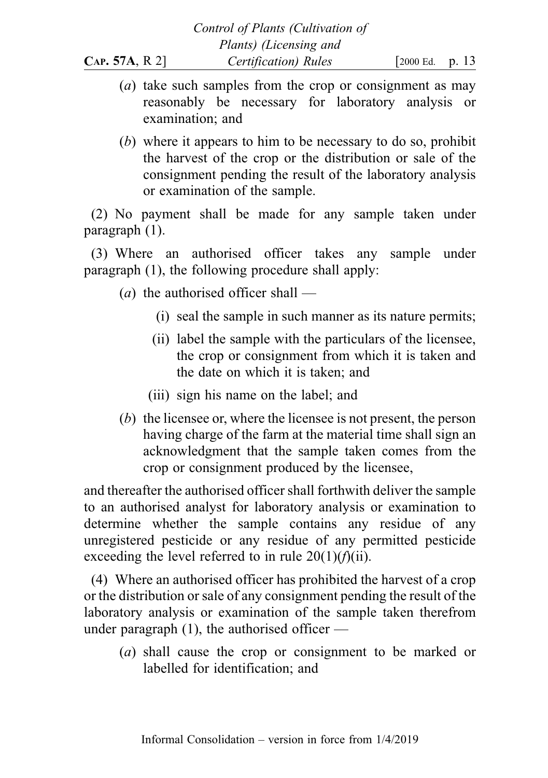- (a) take such samples from the crop or consignment as may reasonably be necessary for laboratory analysis or examination; and
- (b) where it appears to him to be necessary to do so, prohibit the harvest of the crop or the distribution or sale of the consignment pending the result of the laboratory analysis or examination of the sample.

(2) No payment shall be made for any sample taken under paragraph (1).

(3) Where an authorised officer takes any sample under paragraph (1), the following procedure shall apply:

(*a*) the authorised officer shall —

- (i) seal the sample in such manner as its nature permits;
- (ii) label the sample with the particulars of the licensee, the crop or consignment from which it is taken and the date on which it is taken; and
- (iii) sign his name on the label; and
- (b) the licensee or, where the licensee is not present, the person having charge of the farm at the material time shall sign an acknowledgment that the sample taken comes from the crop or consignment produced by the licensee,

and thereafter the authorised officer shall forthwith deliver the sample to an authorised analyst for laboratory analysis or examination to determine whether the sample contains any residue of any unregistered pesticide or any residue of any permitted pesticide exceeding the level referred to in rule  $20(1)(f)(ii)$ .

(4) Where an authorised officer has prohibited the harvest of a crop or the distribution or sale of any consignment pending the result of the laboratory analysis or examination of the sample taken therefrom under paragraph  $(1)$ , the authorised officer —

(a) shall cause the crop or consignment to be marked or labelled for identification; and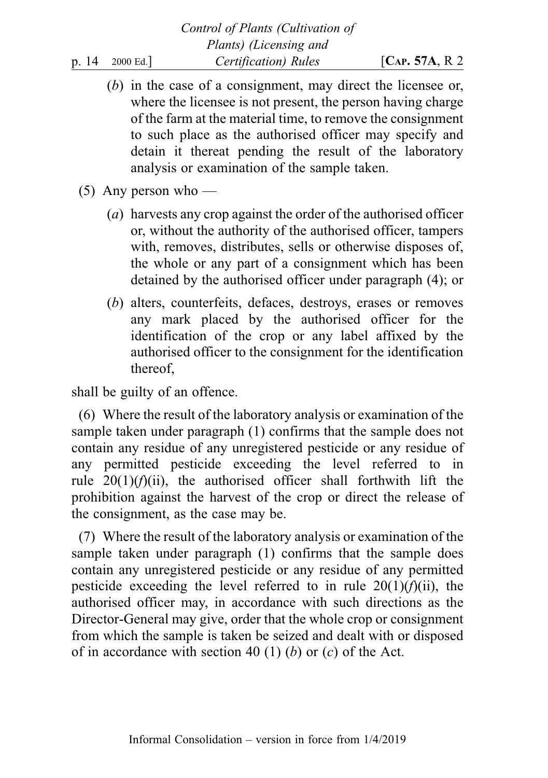- (b) in the case of a consignment, may direct the licensee or, where the licensee is not present, the person having charge of the farm at the material time, to remove the consignment to such place as the authorised officer may specify and detain it thereat pending the result of the laboratory analysis or examination of the sample taken.
- $(5)$  Any person who
	- (a) harvests any crop against the order of the authorised officer or, without the authority of the authorised officer, tampers with, removes, distributes, sells or otherwise disposes of, the whole or any part of a consignment which has been detained by the authorised officer under paragraph (4); or
	- (b) alters, counterfeits, defaces, destroys, erases or removes any mark placed by the authorised officer for the identification of the crop or any label affixed by the authorised officer to the consignment for the identification thereof,

shall be guilty of an offence.

(6) Where the result of the laboratory analysis or examination of the sample taken under paragraph (1) confirms that the sample does not contain any residue of any unregistered pesticide or any residue of any permitted pesticide exceeding the level referred to in rule  $20(1)(f)(ii)$ , the authorised officer shall forthwith lift the prohibition against the harvest of the crop or direct the release of the consignment, as the case may be.

(7) Where the result of the laboratory analysis or examination of the sample taken under paragraph (1) confirms that the sample does contain any unregistered pesticide or any residue of any permitted pesticide exceeding the level referred to in rule  $20(1)(f)(ii)$ , the authorised officer may, in accordance with such directions as the Director-General may give, order that the whole crop or consignment from which the sample is taken be seized and dealt with or disposed of in accordance with section 40 (1) (b) or  $(c)$  of the Act.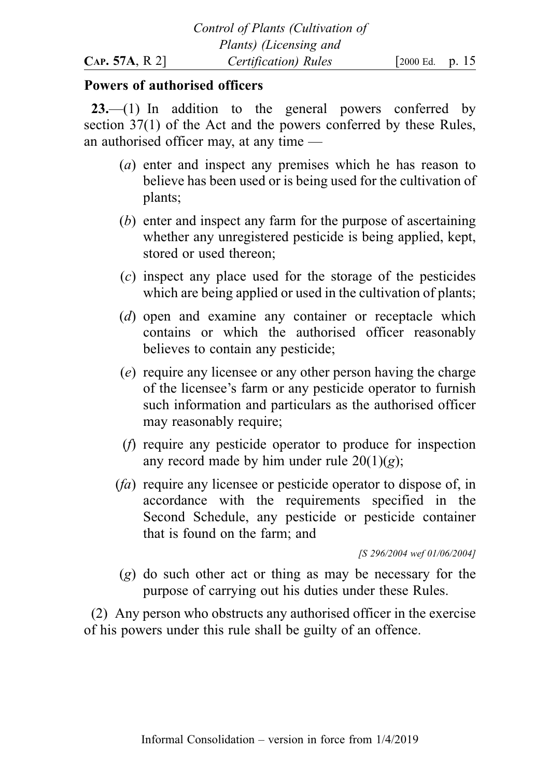### Powers of authorised officers

23.—(1) In addition to the general powers conferred by section 37(1) of the Act and the powers conferred by these Rules, an authorised officer may, at any time —

- (a) enter and inspect any premises which he has reason to believe has been used or is being used for the cultivation of plants;
- (b) enter and inspect any farm for the purpose of ascertaining whether any unregistered pesticide is being applied, kept, stored or used thereon;
- (c) inspect any place used for the storage of the pesticides which are being applied or used in the cultivation of plants;
- (d) open and examine any container or receptacle which contains or which the authorised officer reasonably believes to contain any pesticide;
- (e) require any licensee or any other person having the charge of the licensee's farm or any pesticide operator to furnish such information and particulars as the authorised officer may reasonably require;
- (f) require any pesticide operator to produce for inspection any record made by him under rule  $20(1)(g)$ ;
- (fa) require any licensee or pesticide operator to dispose of, in accordance with the requirements specified in the Second Schedule, any pesticide or pesticide container that is found on the farm; and

[S 296/2004 wef 01/06/2004]

(g) do such other act or thing as may be necessary for the purpose of carrying out his duties under these Rules.

(2) Any person who obstructs any authorised officer in the exercise of his powers under this rule shall be guilty of an offence.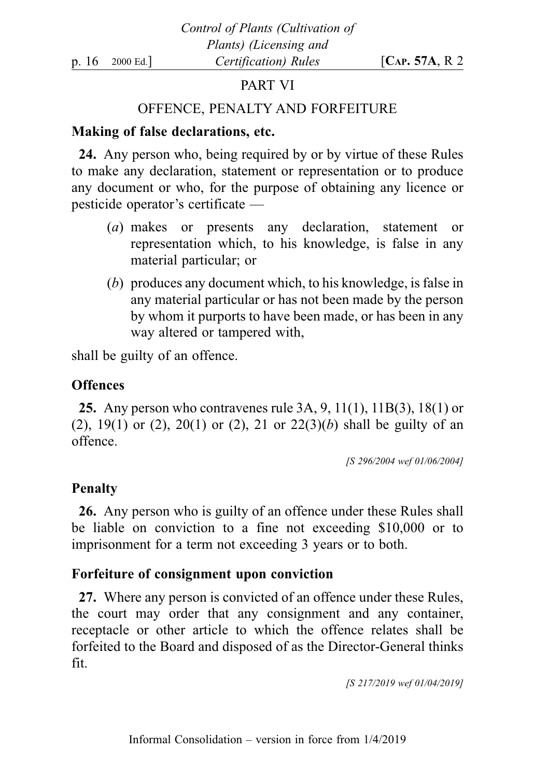# PART VI

## OFFENCE, PENALTY AND FORFEITURE

## Making of false declarations, etc.

24. Any person who, being required by or by virtue of these Rules to make any declaration, statement or representation or to produce any document or who, for the purpose of obtaining any licence or pesticide operator's certificate —

- (a) makes or presents any declaration, statement or representation which, to his knowledge, is false in any material particular; or
- (b) produces any document which, to his knowledge, is false in any material particular or has not been made by the person by whom it purports to have been made, or has been in any way altered or tampered with,

shall be guilty of an offence.

## **Offences**

25. Any person who contravenes rule 3A, 9, 11(1), 11B(3), 18(1) or (2), 19(1) or (2), 20(1) or (2), 21 or  $22(3)(b)$  shall be guilty of an offence.

[S 296/2004 wef 01/06/2004]

## Penalty

26. Any person who is guilty of an offence under these Rules shall be liable on conviction to a fine not exceeding \$10,000 or to imprisonment for a term not exceeding 3 years or to both.

## Forfeiture of consignment upon conviction

27. Where any person is convicted of an offence under these Rules, the court may order that any consignment and any container, receptacle or other article to which the offence relates shall be forfeited to the Board and disposed of as the Director-General thinks fit.

[S 217/2019 wef 01/04/2019]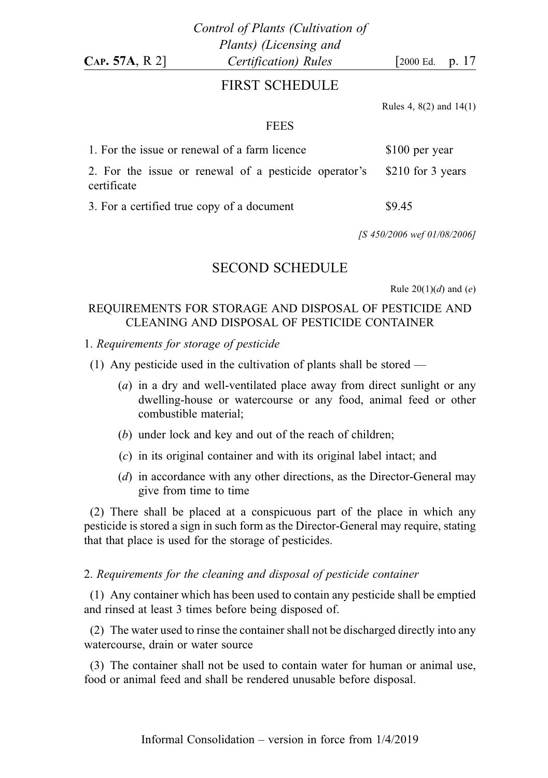### FIRST SCHEDULE

Rules 4, 8(2) and 14(1)

#### FEES

| 1. For the issue or renewal of a farm licence                                          | \$100 per year |  |
|----------------------------------------------------------------------------------------|----------------|--|
| 2. For the issue or renewal of a pesticide operator's \$210 for 3 years<br>certificate |                |  |
| 3. For a certified true copy of a document                                             | \$9.45         |  |

[S 450/2006 wef 01/08/2006]

#### SECOND SCHEDULE

Rule  $20(1)(d)$  and  $(e)$ 

#### REQUIREMENTS FOR STORAGE AND DISPOSAL OF PESTICIDE AND CLEANING AND DISPOSAL OF PESTICIDE CONTAINER

1. Requirements for storage of pesticide

(1) Any pesticide used in the cultivation of plants shall be stored —

- (a) in a dry and well-ventilated place away from direct sunlight or any dwelling-house or watercourse or any food, animal feed or other combustible material;
- (b) under lock and key and out of the reach of children;
- (c) in its original container and with its original label intact; and
- (d) in accordance with any other directions, as the Director-General may give from time to time

(2) There shall be placed at a conspicuous part of the place in which any pesticide is stored a sign in such form as the Director-General may require, stating that that place is used for the storage of pesticides.

#### 2. Requirements for the cleaning and disposal of pesticide container

(1) Any container which has been used to contain any pesticide shall be emptied and rinsed at least 3 times before being disposed of.

(2) The water used to rinse the container shall not be discharged directly into any watercourse, drain or water source

(3) The container shall not be used to contain water for human or animal use, food or animal feed and shall be rendered unusable before disposal.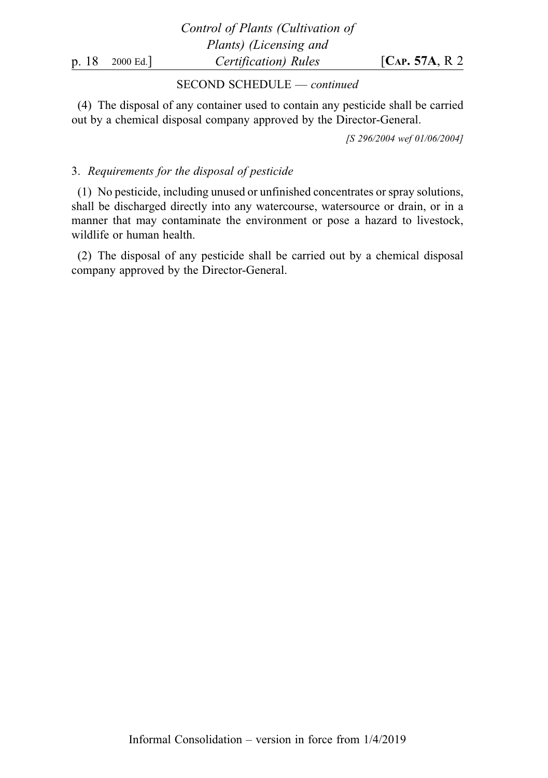Control of Plants (Cultivation of Plants) (Licensing and p. 18 2000 Ed.]  $\qquad \qquad$  Certification) Rules  $\qquad \qquad$  [CAP. 57A, R 2

#### SECOND SCHEDULE — continued

(4) The disposal of any container used to contain any pesticide shall be carried out by a chemical disposal company approved by the Director-General.

[S 296/2004 wef 01/06/2004]

#### 3. Requirements for the disposal of pesticide

(1) No pesticide, including unused or unfinished concentrates or spray solutions, shall be discharged directly into any watercourse, watersource or drain, or in a manner that may contaminate the environment or pose a hazard to livestock, wildlife or human health.

(2) The disposal of any pesticide shall be carried out by a chemical disposal company approved by the Director-General.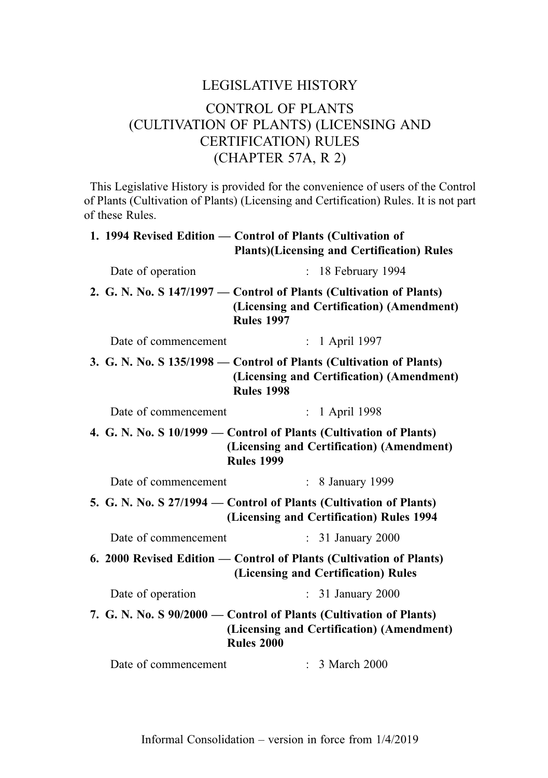# LEGISLATIVE HISTORY CONTROL OF PLANTS (CULTIVATION OF PLANTS) (LICENSING AND CERTIFICATION) RULES (CHAPTER 57A, R 2)

This Legislative History is provided for the convenience of users of the Control of Plants (Cultivation of Plants) (Licensing and Certification) Rules. It is not part of these Rules.

|                      | 1. 1994 Revised Edition — Control of Plants (Cultivation of<br><b>Plants)</b> (Licensing and Certification) Rules                     |
|----------------------|---------------------------------------------------------------------------------------------------------------------------------------|
| Date of operation    | $: 18$ February 1994                                                                                                                  |
|                      | 2. G. N. No. S 147/1997 – Control of Plants (Cultivation of Plants)<br>(Licensing and Certification) (Amendment)<br><b>Rules 1997</b> |
| Date of commencement | : 1 April 1997                                                                                                                        |
|                      | 3. G. N. No. S 135/1998 – Control of Plants (Cultivation of Plants)<br>(Licensing and Certification) (Amendment)<br><b>Rules 1998</b> |
| Date of commencement | : 1 April 1998                                                                                                                        |
|                      | 4. G. N. No. S 10/1999 - Control of Plants (Cultivation of Plants)<br>(Licensing and Certification) (Amendment)<br><b>Rules 1999</b>  |
| Date of commencement | : 8 January 1999                                                                                                                      |
|                      | 5. G. N. No. S 27/1994 - Control of Plants (Cultivation of Plants)<br>(Licensing and Certification) Rules 1994                        |
| Date of commencement | : 31 January 2000                                                                                                                     |
|                      | 6. 2000 Revised Edition — Control of Plants (Cultivation of Plants)<br>(Licensing and Certification) Rules                            |
| Date of operation    | : 31 January 2000                                                                                                                     |
|                      | 7. G. N. No. S 90/2000 - Control of Plants (Cultivation of Plants)<br>(Licensing and Certification) (Amendment)<br><b>Rules 2000</b>  |
| Date of commencement | : 3 March 2000                                                                                                                        |